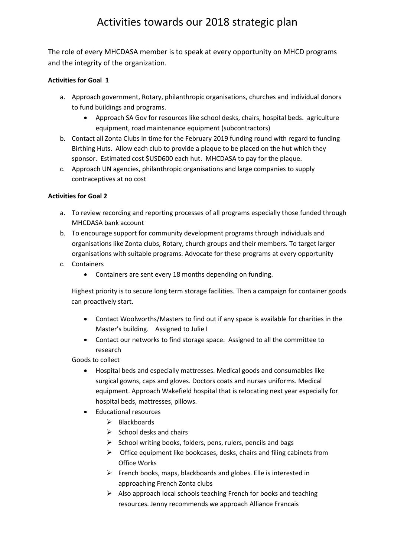The role of every MHCDASA member is to speak at every opportunity on MHCD programs and the integrity of the organization.

#### **Activities for Goal 1**

- a. Approach government, Rotary, philanthropic organisations, churches and individual donors to fund buildings and programs.
	- Approach SA Gov for resources like school desks, chairs, hospital beds. agriculture equipment, road maintenance equipment (subcontractors)
- b. Contact all Zonta Clubs in time for the February 2019 funding round with regard to funding Birthing Huts. Allow each club to provide a plaque to be placed on the hut which they sponsor. Estimated cost \$USD600 each hut. MHCDASA to pay for the plaque.
- c. Approach UN agencies, philanthropic organisations and large companies to supply contraceptives at no cost

### **Activities for Goal 2**

- a. To review recording and reporting processes of all programs especially those funded through MHCDASA bank account
- b. To encourage support for community development programs through individuals and organisations like Zonta clubs, Rotary, church groups and their members. To target larger organisations with suitable programs. Advocate for these programs at every opportunity
- c. Containers
	- Containers are sent every 18 months depending on funding.

Highest priority is to secure long term storage facilities. Then a campaign for container goods can proactively start.

- Contact Woolworths/Masters to find out if any space is available for charities in the Master's building. Assigned to Julie I
- Contact our networks to find storage space. Assigned to all the committee to research

Goods to collect

- Hospital beds and especially mattresses. Medical goods and consumables like surgical gowns, caps and gloves. Doctors coats and nurses uniforms. Medical equipment. Approach Wakefield hospital that is relocating next year especially for hospital beds, mattresses, pillows.
- Educational resources
	- $\triangleright$  Blackboards
	- $\triangleright$  School desks and chairs
	- $\triangleright$  School writing books, folders, pens, rulers, pencils and bags
	- $\triangleright$  Office equipment like bookcases, desks, chairs and filing cabinets from Office Works
	- $\triangleright$  French books, maps, blackboards and globes. Elle is interested in approaching French Zonta clubs
	- $\triangleright$  Also approach local schools teaching French for books and teaching resources. Jenny recommends we approach Alliance Francais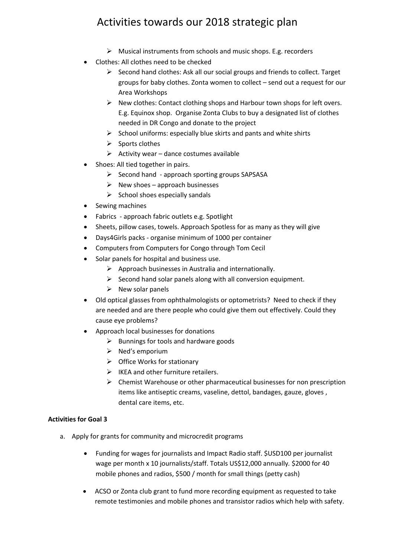- $\triangleright$  Musical instruments from schools and music shops. E.g. recorders
- Clothes: All clothes need to be checked
	- $\triangleright$  Second hand clothes: Ask all our social groups and friends to collect. Target groups for baby clothes. Zonta women to collect – send out a request for our Area Workshops
	- $\triangleright$  New clothes: Contact clothing shops and Harbour town shops for left overs. E.g. Equinox shop. Organise Zonta Clubs to buy a designated list of clothes needed in DR Congo and donate to the project
	- $\triangleright$  School uniforms: especially blue skirts and pants and white shirts
	- $\triangleright$  Sports clothes
	- $\triangleright$  Activity wear dance costumes available
- Shoes: All tied together in pairs.
	- $\triangleright$  Second hand approach sporting groups SAPSASA
	- $\triangleright$  New shoes approach businesses
	- $\triangleright$  School shoes especially sandals
- Sewing machines
- Fabrics approach fabric outlets e.g. Spotlight
- Sheets, pillow cases, towels. Approach Spotless for as many as they will give
- Days4Girls packs organise minimum of 1000 per container
- Computers from Computers for Congo through Tom Cecil
- Solar panels for hospital and business use.
	- $\triangleright$  Approach businesses in Australia and internationally.
	- $\triangleright$  Second hand solar panels along with all conversion equipment.
	- $\triangleright$  New solar panels
- Old optical glasses from ophthalmologists or optometrists? Need to check if they are needed and are there people who could give them out effectively. Could they cause eye problems?
- Approach local businesses for donations
	- $\triangleright$  Bunnings for tools and hardware goods
	- $\triangleright$  Ned's emporium
	- $\triangleright$  Office Works for stationary
	- $\triangleright$  IKEA and other furniture retailers.
	- $\triangleright$  Chemist Warehouse or other pharmaceutical businesses for non prescription items like antiseptic creams, vaseline, dettol, bandages, gauze, gloves , dental care items, etc.

#### **Activities for Goal 3**

- a. Apply for grants for community and microcredit programs
	- Funding for wages for journalists and Impact Radio staff. \$USD100 per journalist wage per month x 10 journalists/staff. Totals US\$12,000 annually*.* \$2000 for 40 mobile phones and radios, \$500 / month for small things (petty cash)
	- ACSO or Zonta club grant to fund more recording equipment as requested to take remote testimonies and mobile phones and transistor radios which help with safety.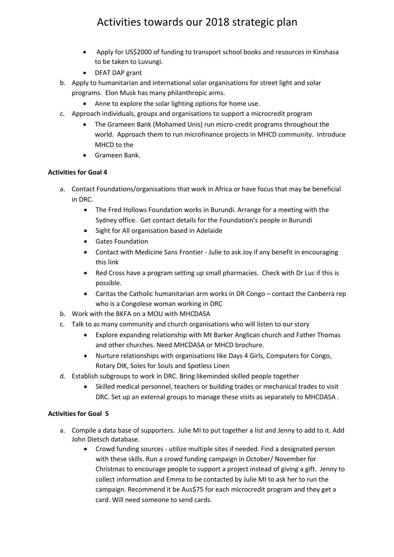- Apply for US\$2000 of funding to transport school books and resources in Kinshasa to be taken to Luvungi.
- DFAT DAP grant
- b. Apply to humanitarian and international solar organisations for street light and solar programs. Elon Musk has many philanthropic arms.
	- Anne to explore the solar lighting options for home use.
- c. Approach individuals, groups and organisations to support a microcredit program
	- The Grameen Bank (Mohamed Unis) run micro-credit programs throughout the world. Approach them to run microfinance projects in MHCD community. Introduce MHCD to the
	- Grameen Bank.

#### **Activities for Goal 4**

- a. Contact Foundations/organisations that work in Africa or have focus that may be beneficial in DRC.
	- The Fred Hollows Foundation works in Burundi. Arrange for a meeting with the Sydney office. Get contact details for the Foundation's people in Burundi
	- Sight for All organisation based in Adelaide
	- Gates Foundation
	- Contact with Medicine Sans Frontier Julie to ask Joy if any benefit in encouraging this link
	- Red Cross have a program setting up small pharmacies. Check with Dr Luc if this is possible.
	- Caritas the Catholic humanitarian arm works in DR Congo contact the Canberra rep who is a Congolese woman working in DRC
- b. Work with the BKFA on a MOU with MHCDASA
- c. Talk to as many community and church organisations who will listen to our story
	- Explore expanding relationship with Mt Barker Anglican church and Father Thomas and other churches. Need MHCDASA or MHCD brochure.
	- Nurture relationships with organisations like Days 4 Girls, Computers for Congo, Rotary DIK, Soles for Souls and Spotless Linen
- d. Establish subgroups to work in DRC. Bring likeminded skilled people together
	- Skilled medical personnel, teachers or building trades or mechanical trades to visit DRC. Set up an external groups to manage these visits as separately to MHCDASA .

#### **Activities for Goal 5**

- a. Compile a data base of supporters. Julie MI to put together a list and Jenny to add to it. Add John Dietsch database.
	- Crowd funding sources utilize multiple sites if needed. Find a designated person with these skills. Run a crowd funding campaign in October/ November for Christmas to encourage people to support a project instead of giving a gift. Jenny to collect information and Emma to be contacted by Julie MI to ask her to run the campaign. Recommend it be Aus\$75 for each microcredit program and they get a card. Will need someone to send cards.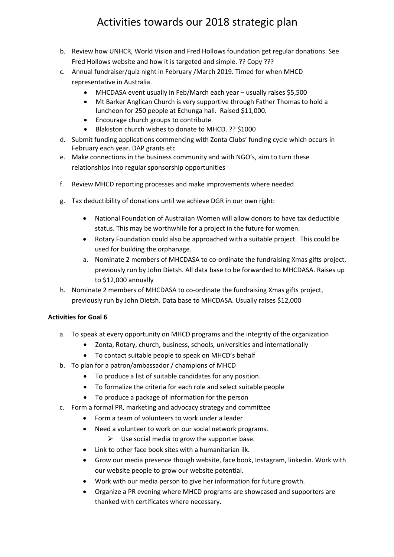- b. Review how UNHCR, World Vision and Fred Hollows foundation get regular donations. See Fred Hollows website and how it is targeted and simple. ?? Copy ???
- c. Annual fundraiser/quiz night in February /March 2019. Timed for when MHCD representative in Australia.
	- MHCDASA event usually in Feb/March each year usually raises \$5,500
	- Mt Barker Anglican Church is very supportive through Father Thomas to hold a luncheon for 250 people at Echunga hall. Raised \$11,000.
	- Encourage church groups to contribute
	- Blakiston church wishes to donate to MHCD. ?? \$1000
- d. Submit funding applications commencing with Zonta Clubs' funding cycle which occurs in February each year. DAP grants etc
- e. Make connections in the business community and with NGO's, aim to turn these relationships into regular sponsorship opportunities
- f. Review MHCD reporting processes and make improvements where needed
- g. Tax deductibility of donations until we achieve DGR in our own right:
	- National Foundation of Australian Women will allow donors to have tax deductible status. This may be worthwhile for a project in the future for women.
	- Rotary Foundation could also be approached with a suitable project. This could be used for building the orphanage.
	- a. Nominate 2 members of MHCDASA to co-ordinate the fundraising Xmas gifts project, previously run by John Dietsh. All data base to be forwarded to MHCDASA. Raises up to \$12,000 annually
- h. Nominate 2 members of MHCDASA to co-ordinate the fundraising Xmas gifts project, previously run by John Dietsh. Data base to MHCDASA. Usually raises \$12,000

#### **Activities for Goal 6**

- a. To speak at every opportunity on MHCD programs and the integrity of the organization
	- Zonta, Rotary, church, business, schools, universities and internationally
	- To contact suitable people to speak on MHCD's behalf
- b. To plan for a patron/ambassador / champions of MHCD
	- To produce a list of suitable candidates for any position.
	- To formalize the criteria for each role and select suitable people
	- To produce a package of information for the person
- c. Form a formal PR, marketing and advocacy strategy and committee
	- Form a team of volunteers to work under a leader
	- Need a volunteer to work on our social network programs.
		- $\triangleright$  Use social media to grow the supporter base.
	- Link to other face book sites with a humanitarian ilk.
	- Grow our media presence though website, face book, Instagram, linkedin. Work with our website people to grow our website potential.
	- Work with our media person to give her information for future growth.
	- Organize a PR evening where MHCD programs are showcased and supporters are thanked with certificates where necessary.